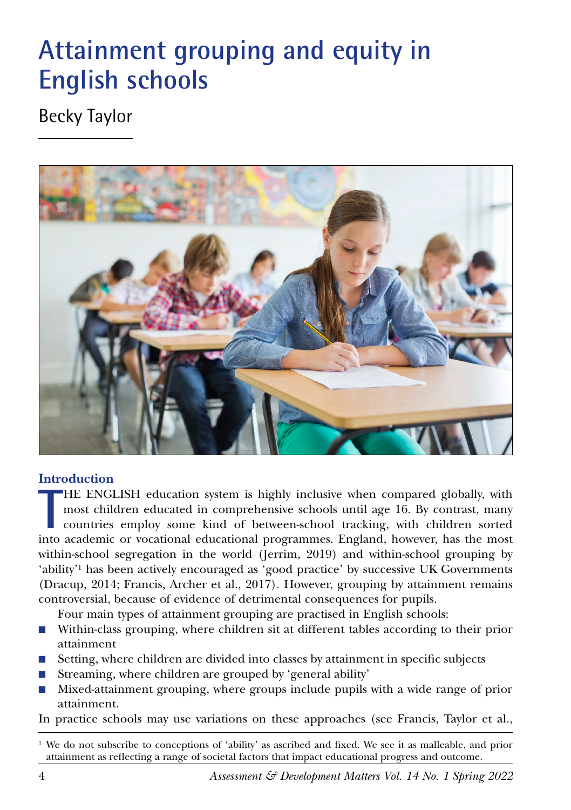# **Attainment grouping and equity in English schools**

# Becky Taylor



### **Introduction**

**THE ENGLISH** education system is highly inclusive when compared globally, with most children educated in comprehensive schools until age 16. By contrast, many countries employ some kind of between-school tracking, with ch HE ENGLISH education system is highly inclusive when compared globally, with most children educated in comprehensive schools until age 16. By contrast, many countries employ some kind of between-school tracking, with children sorted within-school segregation in the world (Jerrim, 2019) and within-school grouping by 'ability'1 has been actively encouraged as 'good practice' by successive UK Governments (Dracup, 2014; Francis, Archer et al., 2017). However, grouping by attainment remains controversial, because of evidence of detrimental consequences for pupils.

Four main types of attainment grouping are practised in English schools:

- Within-class grouping, where children sit at different tables according to their prior attainment
- Setting, where children are divided into classes by attainment in specific subjects
- Streaming, where children are grouped by 'general ability'
- Mixed-attainment grouping, where groups include pupils with a wide range of prior attainment.

In practice schools may use variations on these approaches (see Francis, Taylor et al.,

<sup>1</sup> We do not subscribe to conceptions of 'ability' as ascribed and fixed. We see it as malleable, and prior attainment as reflecting a range of societal factors that impact educational progress and outcome.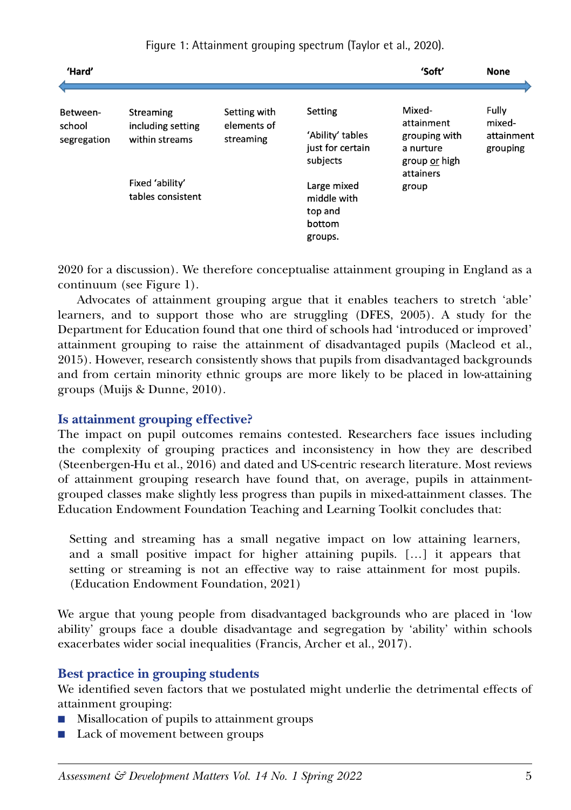| 'Hard'                            |                                      |                                          |                                                            | 'Soft'                                                                                    | <b>None</b>                               |
|-----------------------------------|--------------------------------------|------------------------------------------|------------------------------------------------------------|-------------------------------------------------------------------------------------------|-------------------------------------------|
| Between-<br>school<br>segregation | Streaming                            | Setting with<br>elements of<br>streaming | Setting                                                    | Mixed-<br>attainment<br>grouping with<br>a nurture<br>group or high<br>attainers<br>group | Fully<br>mixed-<br>attainment<br>grouping |
|                                   | including setting<br>within streams  |                                          | 'Ability' tables<br>just for certain<br>subjects           |                                                                                           |                                           |
|                                   | Fixed 'ability'<br>tables consistent |                                          | Large mixed<br>middle with<br>top and<br>bottom<br>groups. |                                                                                           |                                           |

Figure 1: Attainment grouping spectrum (Taylor et al., 2020).

2020 for a discussion). We therefore conceptualise attainment grouping in England as a continuum (see Figure 1).

Advocates of attainment grouping argue that it enables teachers to stretch 'able' learners, and to support those who are struggling (DFES, 2005). A study for the Department for Education found that one third of schools had 'introduced or improved' attainment grouping to raise the attainment of disadvantaged pupils (Macleod et al., 2015). However, research consistently shows that pupils from disadvantaged backgrounds and from certain minority ethnic groups are more likely to be placed in low-attaining groups (Muijs & Dunne, 2010).

### **Is attainment grouping effective?**

The impact on pupil outcomes remains contested. Researchers face issues including the complexity of grouping practices and inconsistency in how they are described (Steenbergen-Hu et al., 2016) and dated and US-centric research literature. Most reviews of attainment grouping research have found that, on average, pupils in attainmentgrouped classes make slightly less progress than pupils in mixed-attainment classes. The Education Endowment Foundation Teaching and Learning Toolkit concludes that:

Setting and streaming has a small negative impact on low attaining learners, and a small positive impact for higher attaining pupils. […] it appears that setting or streaming is not an effective way to raise attainment for most pupils. (Education Endowment Foundation, 2021)

We argue that young people from disadvantaged backgrounds who are placed in 'low ability' groups face a double disadvantage and segregation by 'ability' within schools exacerbates wider social inequalities (Francis, Archer et al., 2017).

# **Best practice in grouping students**

We identified seven factors that we postulated might underlie the detrimental effects of attainment grouping:

- Misallocation of pupils to attainment groups
- Lack of movement between groups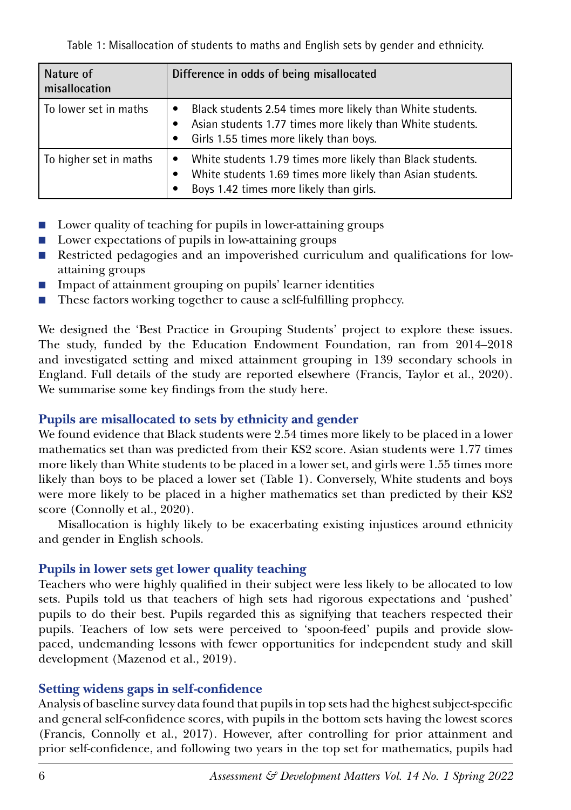Table 1: Misallocation of students to maths and English sets by gender and ethnicity.

| Nature of<br>misallocation | Difference in odds of being misallocated                                                                                                                                                                   |  |  |
|----------------------------|------------------------------------------------------------------------------------------------------------------------------------------------------------------------------------------------------------|--|--|
| To lower set in maths      | Black students 2.54 times more likely than White students.<br>Asian students 1.77 times more likely than White students.<br>$\bullet$<br>Girls 1.55 times more likely than boys.<br>$\bullet$              |  |  |
| To higher set in maths     | White students 1.79 times more likely than Black students.<br>$\bullet$<br>White students 1.69 times more likely than Asian students.<br>$\bullet$<br>Boys 1.42 times more likely than girls.<br>$\bullet$ |  |  |

- Lower quality of teaching for pupils in lower-attaining groups
- Lower expectations of pupils in low-attaining groups
- Restricted pedagogies and an impoverished curriculum and qualifications for lowattaining groups
- Impact of attainment grouping on pupils' learner identities
- These factors working together to cause a self-fulfilling prophecy.

We designed the 'Best Practice in Grouping Students' project to explore these issues. The study, funded by the Education Endowment Foundation, ran from 2014–2018 and investigated setting and mixed attainment grouping in 139 secondary schools in England. Full details of the study are reported elsewhere (Francis, Taylor et al., 2020). We summarise some key findings from the study here.

# **Pupils are misallocated to sets by ethnicity and gender**

We found evidence that Black students were 2.54 times more likely to be placed in a lower mathematics set than was predicted from their KS2 score. Asian students were 1.77 times more likely than White students to be placed in a lower set, and girls were 1.55 times more likely than boys to be placed a lower set (Table 1). Conversely, White students and boys were more likely to be placed in a higher mathematics set than predicted by their KS2 score (Connolly et al., 2020).

Misallocation is highly likely to be exacerbating existing injustices around ethnicity and gender in English schools.

# **Pupils in lower sets get lower quality teaching**

Teachers who were highly qualified in their subject were less likely to be allocated to low sets. Pupils told us that teachers of high sets had rigorous expectations and 'pushed' pupils to do their best. Pupils regarded this as signifying that teachers respected their pupils. Teachers of low sets were perceived to 'spoon-feed' pupils and provide slowpaced, undemanding lessons with fewer opportunities for independent study and skill development (Mazenod et al., 2019).

# **Setting widens gaps in self-confidence**

Analysis of baseline survey data found that pupils in top sets had the highest subject-specific and general self-confidence scores, with pupils in the bottom sets having the lowest scores (Francis, Connolly et al., 2017). However, after controlling for prior attainment and prior self-confidence, and following two years in the top set for mathematics, pupils had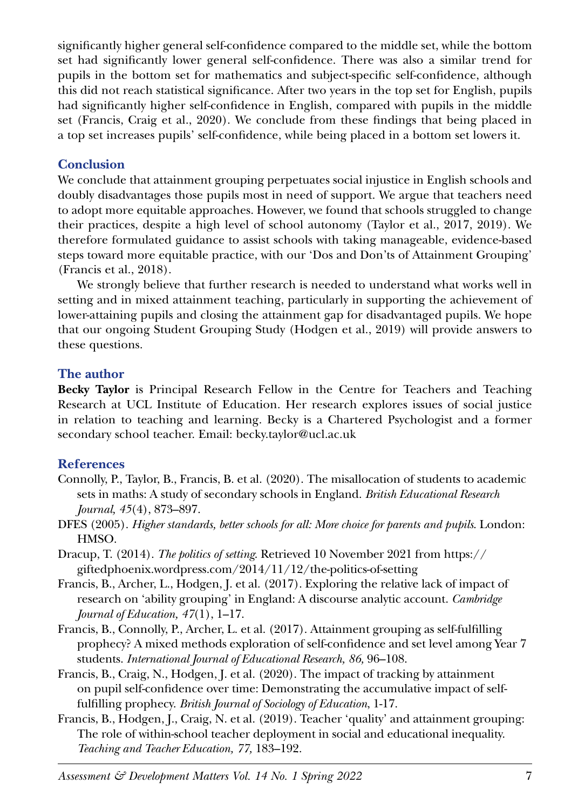significantly higher general self-confidence compared to the middle set, while the bottom set had significantly lower general self-confidence. There was also a similar trend for pupils in the bottom set for mathematics and subject-specific self-confidence, although this did not reach statistical significance. After two years in the top set for English, pupils had significantly higher self-confidence in English, compared with pupils in the middle set (Francis, Craig et al., 2020). We conclude from these findings that being placed in a top set increases pupils' self-confidence, while being placed in a bottom set lowers it.

#### **Conclusion**

We conclude that attainment grouping perpetuates social injustice in English schools and doubly disadvantages those pupils most in need of support. We argue that teachers need to adopt more equitable approaches. However, we found that schools struggled to change their practices, despite a high level of school autonomy (Taylor et al., 2017, 2019). We therefore formulated guidance to assist schools with taking manageable, evidence-based steps toward more equitable practice, with our '[Dos and Don'ts of Attainment Grouping](https://discovery.ucl.ac.uk/id/eprint/10110123/)' (Francis et al., 2018).

We strongly believe that further research is needed to understand what works well in setting and in mixed attainment teaching, particularly in supporting the achievement of lower-attaining pupils and closing the attainment gap for disadvantaged pupils. We hope that our ongoing Student Grouping Study (Hodgen et al., 2019) will provide answers to these questions.

#### **The author**

**Becky Taylor** is Principal Research Fellow in the Centre for Teachers and Teaching Research at UCL Institute of Education. Her research explores issues of social justice in relation to teaching and learning. Becky is a Chartered Psychologist and a former secondary school teacher. Email: becky.taylor@ucl.ac.uk

### **References**

- Connolly, P., Taylor, B., Francis, B. et al. (2020). The misallocation of students to academic sets in maths: A study of secondary schools in England. *British Educational Research Journal, 45*(4), 873–897.
- DFES (2005). *Higher standards, better schools for all: More choice for parents and pupils*. London: HMSO.
- Dracup, T. (2014). *The politics of setting*. Retrieved 10 November 2021 from https:// giftedphoenix.wordpress.com/2014/11/12/the-politics-of-setting
- Francis, B., Archer, L., Hodgen, J. et al. (2017). Exploring the relative lack of impact of research on 'ability grouping' in England: A discourse analytic account. *Cambridge Journal of Education, 47*(1), 1–17.
- Francis, B., Connolly, P., Archer, L. et al. (2017). Attainment grouping as self-fulfilling prophecy? A mixed methods exploration of self-confidence and set level among Year 7 students. *International Journal of Educational Research, 86,* 96–108.
- Francis, B., Craig, N., Hodgen, J. et al. (2020). The impact of tracking by attainment on pupil self-confidence over time: Demonstrating the accumulative impact of selffulfilling prophecy. *British Journal of Sociology of Education*, 1-17.
- Francis, B., Hodgen, J., Craig, N. et al. (2019). Teacher 'quality' and attainment grouping: The role of within-school teacher deployment in social and educational inequality. *Teaching and Teacher Education, 77,* 183–192.